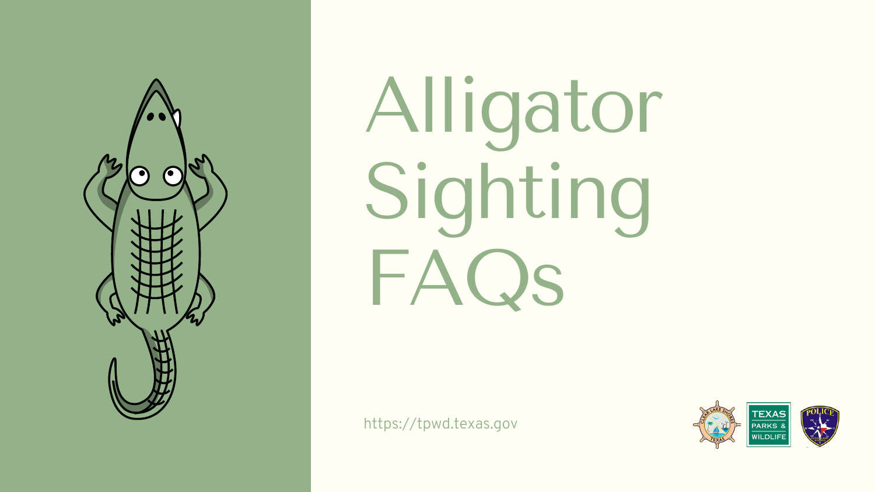







Alligator Sighting FAQs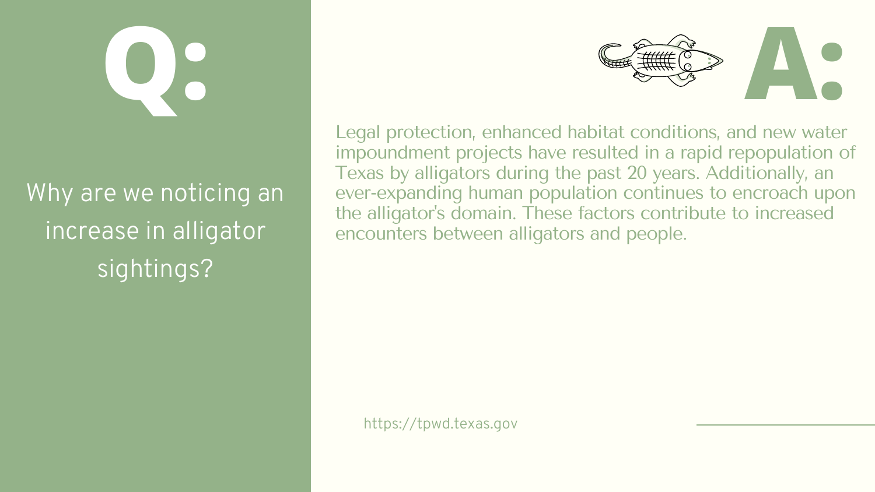Legal protection, enhanced habitat conditions, and new water impoundment projects have resulted in a rapid repopulation of Texas by alligators during the past 20 years. Additionally, an ever-expanding human population continues to encroach upon the alligator's domain. These factors contribute to increased encounters between alligators and people.



#### Why are we noticing an increase in alligator sightings?

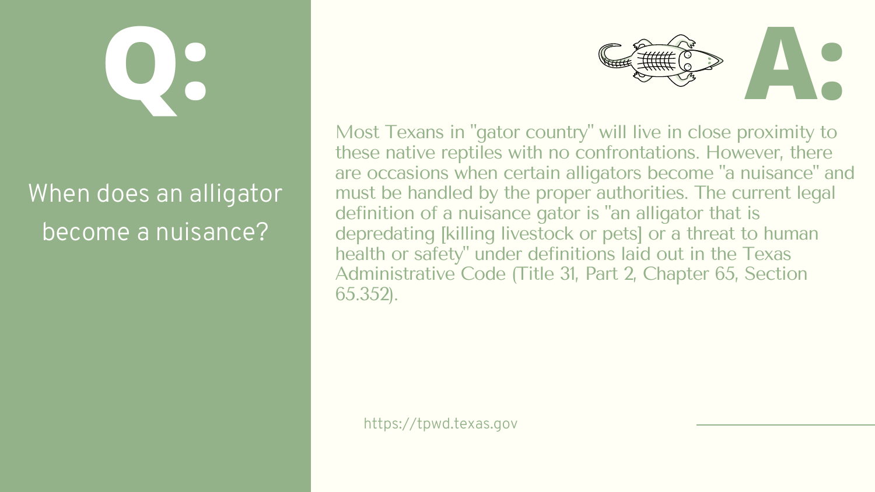Most Texans in "gator country " will live in close proximity to these native reptiles with no confrontations. However, there are occasions when certain alligators become "a nuisance" and must be handled by the proper authorities. The current legal definition of a nuisance gator is "an alligator that is depredating [killing livestock or pets] or a threat to human health or safety " under definitions laid out in the Texas Administrative Code (Title 31, Part 2, Chapter 65, Section 65.352).



#### When does an alligator become a nuisance?

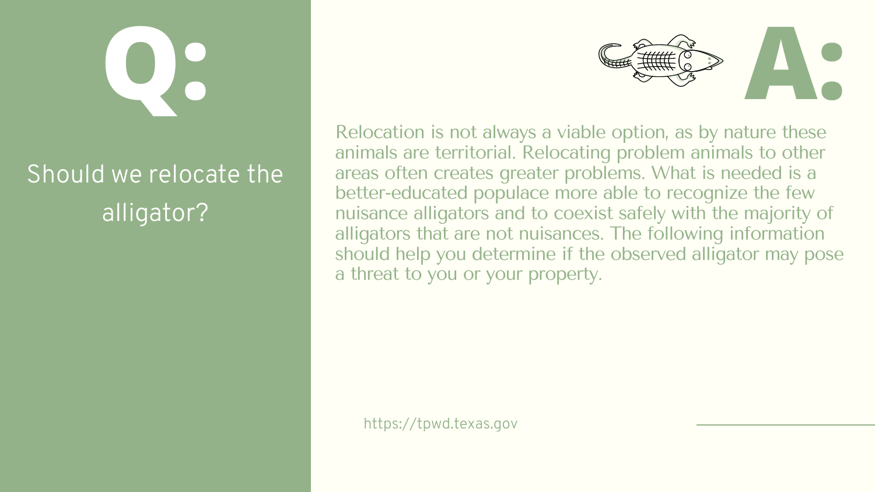Relocation is not always a viable option, as by nature these animals are territorial. Relocating problem animals to other areas often creates greater problems. What is needed is a better-educated populace more able to recognize the few nuisance alligators and to coexist safely with the majority of alligators that are not nuisances. The following information should help you determine if the observed alligator may pose a threat to you or your property.



#### Should we relocate the alligator?

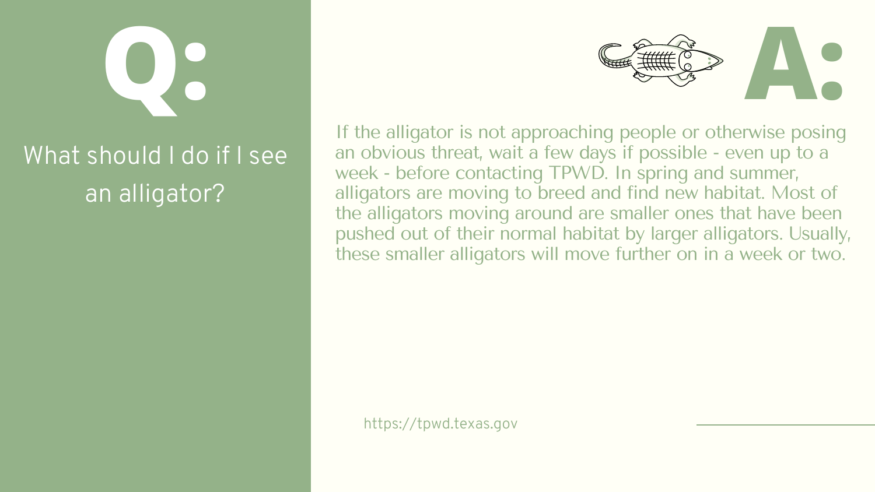If the alligator is not approaching people or otherwise posing an obvious threat, wait a few days if possible - even up to a week - before contacting TPWD. In spring and summer, alligators are moving to breed and find new habitat. Most of the alligators moving around are smaller ones that have been pushed out of their normal habitat by larger alligators. Usually, these smaller alligators will move further on in a week or two.

#### What should I do if I see an alligator?



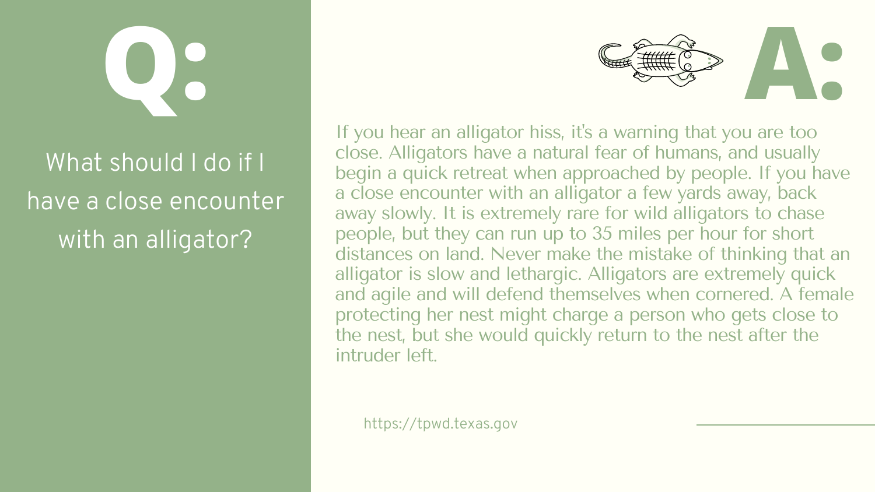If you hear an alligator hiss, it's a warning that you are too close. Alligators have a natural fear of humans, and usually begin a quick retreat when approached by people. If you have a close encounter with an alligator a few yards away, back away slowly. It is extremely rare for wild alligators to chase people, but they can run up to 35 miles per hour for short distances on land. Never make the mistake of thinking that an alligator is slow and lethargic. Alligators are extremely quick and agile and will defend themselves when cornered. A female protecting her nest might charge a person who gets close to the nest, but she would quickly return to the nest after the intruder left.



### What should I do if I have a close encounter with an alligator?

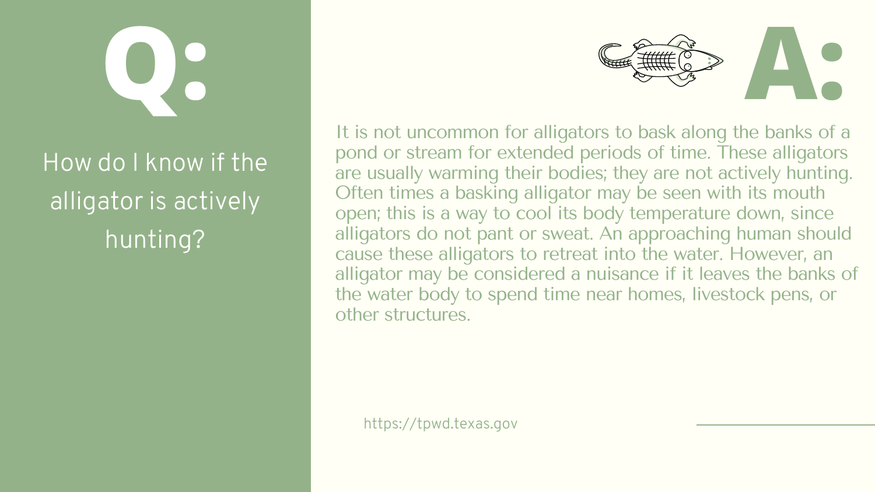It is not uncommon for alligators to bask along the banks of a pond or stream for extended periods of time. These alligators are usually warming their bodies; they are not actively hunting. Often times a basking alligator may be seen with its mouth open; this is a way to cool its body temperature down, since alligators do not pant or sweat. An approaching human should cause these alligators to retreat into the water. However, an alligator may be considered a nuisance if it leaves the banks of the water body to spend time near homes, livestock pens, or other structures.



### How do I know if the alligator is actively hunting?

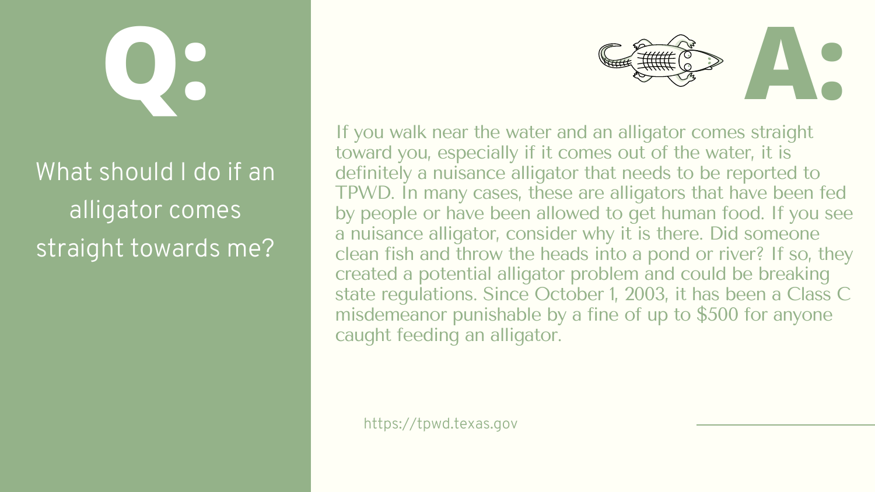If you walk near the water and an alligator comes straight toward you, especially if it comes out of the water, it is definitely a nuisance alligator that needs to be reported to TPWD. In many cases, these are alligators that have been fed by people or have been allowed to get human food. If you see a nuisance alligator, consider why it is there. Did someone clean fish and throw the heads into a pond or river? If so, they created a potential alligator problem and could be breaking state regulations. Since October 1, 2003, it has been a Class C misdemeanor punishable by a fine of up to \$500 for anyone caught feeding an alligator.

### What should I do if an alligator comes straight towards me?



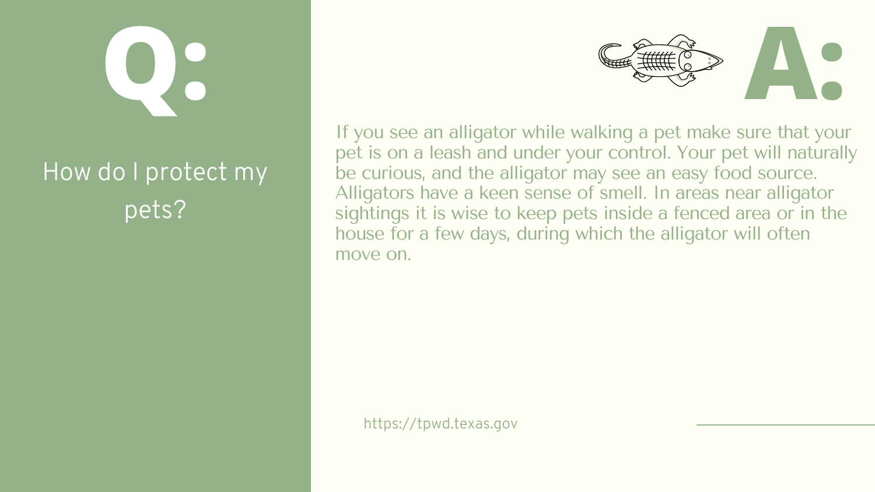If you see an alligator while walking a pet make sure that your pet is on a leash and under your control. Your pet will naturally be curious, and the alligator may see an easy food source. Alligators have a keen sense of smell. In areas near alligator sightings it is wise to keep pets inside a fenced area or in the house for a few days, during which the alligator will often move on.



#### How do I protect my pets?

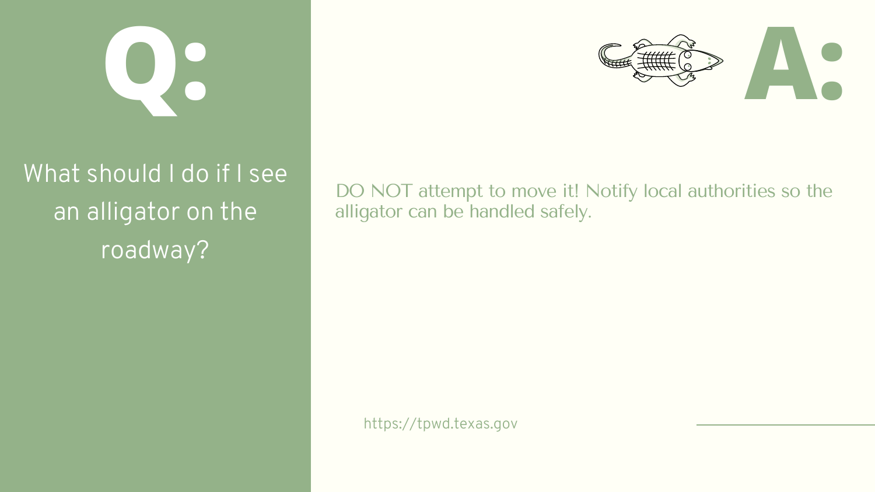### What should I do if I see an alligator on the roadway?

alligator can be handled safely.





## DO NOT attempt to move it! Notify local authorities so the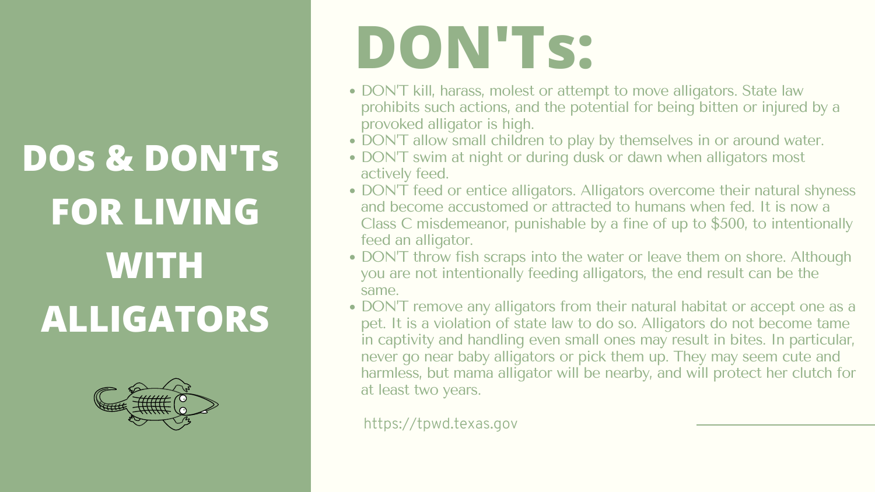DON'T kill, harass, molest or attempt to move alligators. State law prohibits such actions, and the potential for being bitten or injured by a

• DON'T allow small children to play by themselves in or around water. • DON'T swim at night or during dusk or dawn when alligators most

• DON'T feed or entice alligators. Alligators overcome their natural shyness and become accustomed or attracted to humans when fed. It is now a Class C misdemeanor, punishable by a fine of up to \$500, to intentionally

• DON'T throw fish scraps into the water or leave them on shore. Although you are not intentionally feeding alligators, the end result can be the

• DON'T remove any alligators from their natural habitat or accept one as a pet. It is a violation of state law to do so. Alligators do not become tame in captivity and handling even small ones may result in bites. In particular, never go near baby alligators or pick them up. They may seem cute and harmless, but mama alligator will be nearby, and will protect her clutch for

- provoked alligator is high.
- 
- actively feed.
- feed an alligator.
- same.
- at least two years.

## **DOs & DON'Ts FOR LIVING WITH ALLIGATORS**



# **DON'Ts:**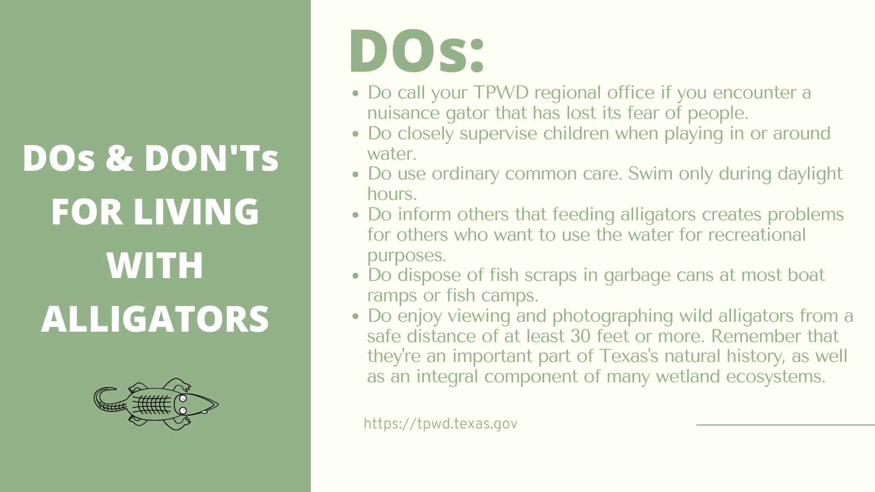#### • Do call your TPWD regional office if you encounter a nuisance gator that has lost its fear of people. • Do closely supervise children when playing in or around

- 
- water.
- Do use ordinary common care. Swim only during daylight hours.
- Do inform others that feeding alligators creates problems for others who want to use the water for recreational purposes.
- Do dispose of fish scraps in garbage cans at most boat ramps or fish camps.
- Do enjoy viewing and photographing wild alligators from a safe distance of at least 30 feet or more. Remember that they 're an important part of Texas's natural history, as well as an integral component of many wetland ecosystems.

## **DOs & DON'Ts FOR LIVING WITH ALLIGATORS**



## **DOs:**